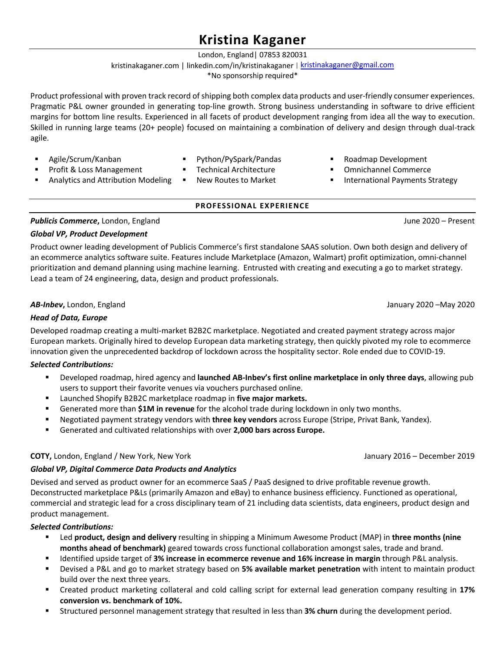# **Kristina Kaganer**

London, England| 07853 820031

# kristinakaganer.com | linkedin.com/in/kristinakaganer | kristinakaganer@gmail.com

\*No sponsorship required\*

Product professional with proven track record of shipping both complex data products and user-friendly consumer experiences. Pragmatic P&L owner grounded in generating top-line growth. Strong business understanding in software to drive efficient margins for bottom line results. Experienced in all facets of product development ranging from idea all the way to execution. Skilled in running large teams (20+ people) focused on maintaining a combination of delivery and design through dual-track agile.

- § Agile/Scrum/Kanban
- § Python/PySpark/Pandas
- § Technical Architecture
- Analytics and Attribution Modeling New Routes to Market
- Roadmap Development
- § Omnichannel Commerce
- International Payments Strategy
- **PROFESSIONAL EXPERIENCE**

# *Publicis Commerce***,** London, England June 2020 – Present

§ Profit & Loss Management

# *Global VP, Product Development*

Product owner leading development of Publicis Commerce's first standalone SAAS solution. Own both design and delivery of an ecommerce analytics software suite. Features include Marketplace (Amazon, Walmart) profit optimization, omni-channel prioritization and demand planning using machine learning. Entrusted with creating and executing a go to market strategy. Lead a team of 24 engineering, data, design and product professionals.

# *AB-Inbev***,** London, England January 2020 –May 2020

# *Head of Data, Europe*

Developed roadmap creating a multi-market B2B2C marketplace. Negotiated and created payment strategy across major European markets. Originally hired to develop European data marketing strategy, then quickly pivoted my role to ecommerce innovation given the unprecedented backdrop of lockdown across the hospitality sector. Role ended due to COVID-19.

# *Selected Contributions:*

- § Developed roadmap, hired agency and **launched AB-Inbev's first online marketplace in only three days**, allowing pub users to support their favorite venues via vouchers purchased online.
- Launched Shopify B2B2C marketplace roadmap in **five major markets.**
- Generated more than **\$1M in revenue** for the alcohol trade during lockdown in only two months.
- § Negotiated payment strategy vendors with **three key vendors** across Europe (Stripe, Privat Bank, Yandex).
- § Generated and cultivated relationships with over **2,000 bars across Europe.**

# **COTY,** London, England / New York, New York January 2016 – December 2019

# *Global VP, Digital Commerce Data Products and Analytics*

Devised and served as product owner for an ecommerce SaaS / PaaS designed to drive profitable revenue growth. Deconstructed marketplace P&Ls (primarily Amazon and eBay) to enhance business efficiency. Functioned as operational, commercial and strategic lead for a cross disciplinary team of 21 including data scientists, data engineers, product design and product management.

# *Selected Contributions:*

- § Led **product, design and delivery** resulting in shipping a Minimum Awesome Product (MAP) in **three months (nine months ahead of benchmark)** geared towards cross functional collaboration amongst sales, trade and brand.
- § Identified upside target of **3% increase in ecommerce revenue and 16% increase in margin** through P&L analysis.
- § Devised a P&L and go to market strategy based on **5% available market penetration** with intent to maintain product build over the next three years.
- § Created product marketing collateral and cold calling script for external lead generation company resulting in **17% conversion vs. benchmark of 10%.**
- § Structured personnel management strategy that resulted in less than **3% churn** during the development period.